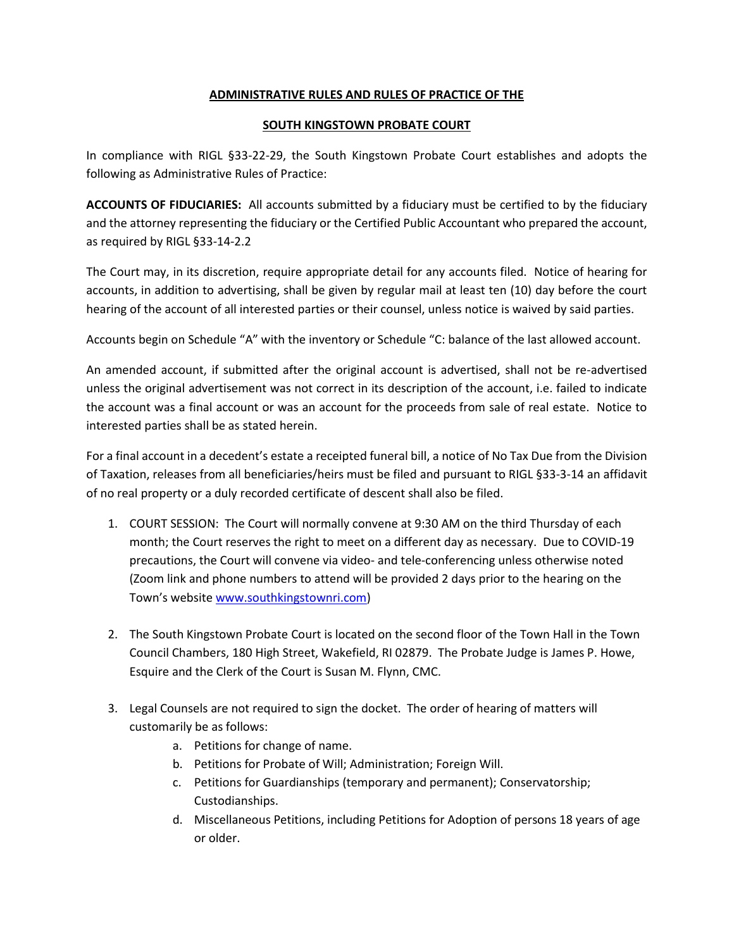## **ADMINISTRATIVE RULES AND RULES OF PRACTICE OF THE**

## **SOUTH KINGSTOWN PROBATE COURT**

In compliance with RIGL §33-22-29, the South Kingstown Probate Court establishes and adopts the following as Administrative Rules of Practice:

**ACCOUNTS OF FIDUCIARIES:** All accounts submitted by a fiduciary must be certified to by the fiduciary and the attorney representing the fiduciary or the Certified Public Accountant who prepared the account, as required by RIGL §33-14-2.2

The Court may, in its discretion, require appropriate detail for any accounts filed. Notice of hearing for accounts, in addition to advertising, shall be given by regular mail at least ten (10) day before the court hearing of the account of all interested parties or their counsel, unless notice is waived by said parties.

Accounts begin on Schedule "A" with the inventory or Schedule "C: balance of the last allowed account.

An amended account, if submitted after the original account is advertised, shall not be re-advertised unless the original advertisement was not correct in its description of the account, i.e. failed to indicate the account was a final account or was an account for the proceeds from sale of real estate. Notice to interested parties shall be as stated herein.

For a final account in a decedent's estate a receipted funeral bill, a notice of No Tax Due from the Division of Taxation, releases from all beneficiaries/heirs must be filed and pursuant to RIGL §33-3-14 an affidavit of no real property or a duly recorded certificate of descent shall also be filed.

- 1. COURT SESSION: The Court will normally convene at 9:30 AM on the third Thursday of each month; the Court reserves the right to meet on a different day as necessary. Due to COVID-19 precautions, the Court will convene via video- and tele-conferencing unless otherwise noted (Zoom link and phone numbers to attend will be provided 2 days prior to the hearing on the Town's website [www.southkingstownri.com\)](http://www.southkingstownri.com/)
- 2. The South Kingstown Probate Court is located on the second floor of the Town Hall in the Town Council Chambers, 180 High Street, Wakefield, RI 02879. The Probate Judge is James P. Howe, Esquire and the Clerk of the Court is Susan M. Flynn, CMC.
- 3. Legal Counsels are not required to sign the docket. The order of hearing of matters will customarily be as follows:
	- a. Petitions for change of name.
	- b. Petitions for Probate of Will; Administration; Foreign Will.
	- c. Petitions for Guardianships (temporary and permanent); Conservatorship; Custodianships.
	- d. Miscellaneous Petitions, including Petitions for Adoption of persons 18 years of age or older.